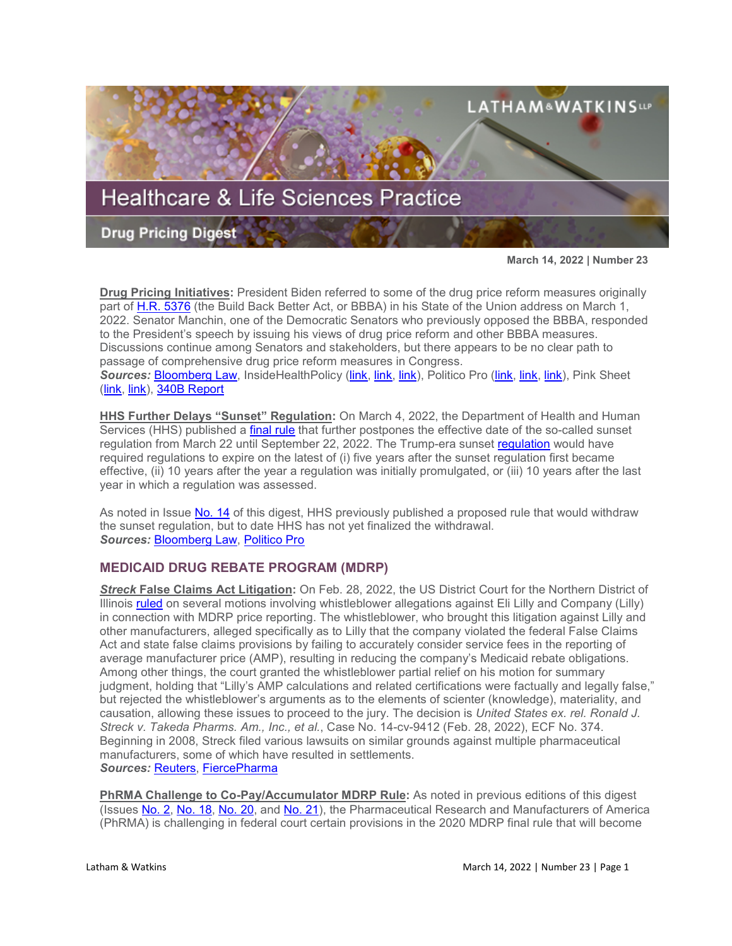

**March 14, 2022 | Number 23**

**Drug Pricing Initiatives:** President Biden referred to some of the drug price reform measures originally part of [H.R. 5376](https://www.sites.lwcommunicate.com/e/rsuy4ryabtyriig/f831d9cf-6927-4352-a6f9-2b8f768792b1) (the Build Back Better Act, or BBBA) in his State of the Union address on March 1, 2022. Senator Manchin, one of the Democratic Senators who previously opposed the BBBA, responded to the President's speech by issuing his views of drug price reform and other BBBA measures. Discussions continue among Senators and stakeholders, but there appears to be no clear path to passage of comprehensive drug price reform measures in Congress. *Sources:* [Bloomberg Law,](https://www.bloomberglaw.com/bloomberglawnews/exp/eyJjdHh0IjoiSFBOVyIsImlkIjoiMDAwMDAxN2YtNDg4Ni1kNjc5LWFmN2YtNmRiNmEwNTIwMDAxIiwic2lnIjoieUxzUlJXcjFRb3NPMFpuNGRnYjAzNzVrTTRRPSIsInRpbWUiOiIxNjQ2MjIyMTMwIiwidXVpZCI6InpUazM1WVFwMXcyREdvaVlCaU1GN0E9PVUxc0sram5wampkdDB3eFZlUVdRMFE9PSIsInYiOiIxIn0=?bwid=0000017f-4886-d679-af7f-6db6a0520001&cti=LFVL&emc=bhpnw_nl%3A1&et=NEWSLETTER&isAlert=false&item=body-link&qid=7254738®ion=text-section&source=newsletter&uc=1320011525&udvType=Alert&usertype=External) InsideHealthPolicy [\(link,](https://insidehealthpolicy.com/daily-news/biden-touts-aca-mental-health-nursing-home-drug-pricing-policies-state-union-address) [link,](https://insidehealthpolicy.com/daily-news/biden-calls-both-drug-price-insurance-cost-controls) [link\)](https://insidehealthpolicy.com/daily-news/schumer-senate-kick-hearings-lowering-drug-other-costs), Politico Pro [\(link,](https://subscriber.politicopro.com/article/2022/03/manchin-lays-out-a-democratic-bill-he-can-back-taxes-prescription-drugs-climate-cash-pro-00013246?source=email) [link,](https://subscriber.politicopro.com/article/2022/03/deal-manchin-reshape-dems-senate-defense-00014883?source=email) [link\)](https://subscriber.politicopro.com/newsletter/2022/03/schumer-wants-congress-to-take-another-shot-at-drug-pricing-legislation-00014991), Pink Sheet [\(link,](https://pink.pharmaintelligence.informa.com/PS145784/Biden-vs-Pharma-You-Come-For-The-King) [link\)](https://pink.pharmaintelligence.informa.com/PS145791/Democratic-Drug-Pricing-Push-Starting-And-Ending-With-Insulin), [340B Report](https://340breport.com/biden-renews-call-for-lowering-insulin-costs-and-letting-medicare-negotiate-drug-prices/)

**HHS Further Delays "Sunset" Regulation:** On March 4, 2022, the Department of Health and Human Services (HHS) published a [final rule](https://www.govinfo.gov/content/pkg/FR-2022-03-04/pdf/2022-04524.pdf) that further postpones the effective date of the so-called sunset regulation from March 22 until September 22, 2022. The Trump-era sunset [regulation](https://www.govinfo.gov/content/pkg/FR-2021-01-19/pdf/2021-00597.pdf) would have required regulations to expire on the latest of (i) five years after the sunset regulation first became effective, (ii) 10 years after the year a regulation was initially promulgated, or (iii) 10 years after the last year in which a regulation was assessed.

As noted in Issue [No. 14](https://www.sites.lwcommunicate.com/e/lgegslvvpua6zhq/ed5e7715-0cd5-40c4-879f-5d48e4d569c8) of this digest, HHS previously published a proposed rule that would withdraw the sunset regulation, but to date HHS has not yet finalized the withdrawal. *Sources:* [Bloomberg Law,](https://www.bloomberglaw.com/bloomberglawnews/exp/eyJjdHh0IjoiSFBOVyIsImlkIjoiMDAwMDAxN2MtY2QwMy1kYjExLWE3ZmQtY2ZlN2E0NGMwMDAxIiwic2lnIjoieEg1a0R0WXBoRHhRU1RtZktNblNLRWVtWURJPSIsInRpbWUiOiIxNjQ2MzE2OTUyIiwidXVpZCI6ImIvVmhxbkUwdElpK2dCSDJKcS8wS2c9PVRKbFJPTHl3Y1A1ckdYWXJ1Z2o0K3c9PSIsInYiOiIxIn0=?bwid=0000017c-cd03-db11-a7fd-cfe7a44c0001&cti=LFVL&emc=bhpnw_cn%3A3&et=CHANNEL_NOTIFICATION&isAlert=false&item=read-text&qid=7255490®ion=digest&source=breaking-news&uc=1320011525&udvType=Alert&usertype=External) [Politico Pro](https://subscriber.politicopro.com/article/2022/03/hhs-delays-regulatory-sunset-rule-00013803)

# **MEDICAID DRUG REBATE PROGRAM (MDRP)**

*Streck* **False Claims Act Litigation:** On Feb. 28, 2022, the US District Court for the Northern District of Illinois [ruled](https://fingfx.thomsonreuters.com/gfx/legaldocs/zdpxoknxnvx/USA%20ex%20rel%20Streck%20v.%20Takeda_Eli%20Lilly.pdf) on several motions involving whistleblower allegations against Eli Lilly and Company (Lilly) in connection with MDRP price reporting. The whistleblower, who brought this litigation against Lilly and other manufacturers, alleged specifically as to Lilly that the company violated the federal False Claims Act and state false claims provisions by failing to accurately consider service fees in the reporting of average manufacturer price (AMP), resulting in reducing the company's Medicaid rebate obligations. Among other things, the court granted the whistleblower partial relief on his motion for summary judgment, holding that "Lilly's AMP calculations and related certifications were factually and legally false," but rejected the whistleblower's arguments as to the elements of scienter (knowledge), materiality, and causation, allowing these issues to proceed to the jury. The decision is *United States ex. rel. Ronald J. Streck v. Takeda Pharms. Am., Inc., et al.*, Case No. 14-cv-9412 (Feb. 28, 2022), ECF No. 374. Beginning in 2008, Streck filed various lawsuits on similar grounds against multiple pharmaceutical manufacturers, some of which have resulted in settlements. *Sources:* [Reuters,](https://www.reuters.com/legal/litigation/whistleblowers-claim-that-eli-lilly-shortchanged-medicaid-will-go-jury-2022-03-01/) [FiercePharma](https://www.fiercepharma.com/pharma/eli-lillys-medicaid-rebate-payments-under-fire-2014-whistleblower-lawsuit-rolls)

**PhRMA Challenge to Co-Pay/Accumulator MDRP Rule:** As noted in previous editions of this digest (Issues [No. 2,](https://www.lw.com/thoughtLeadership/healthcare-life-sciences-drug-pricing-digest-number-2) [No. 18,](https://www.lw.com/thoughtLeadership/healthcare-life-sciences-drug-pricing-digest-number-18) [No. 20,](https://www.lw.com/thoughtLeadership/healthcare-life-sciences-drug-pricing-digest-number-20) and [No. 21\)](https://www.lw.com/thoughtLeadership/healthcare-life-sciences-drug-pricing-digest-number-21), the Pharmaceutical Research and Manufacturers of America (PhRMA) is challenging in federal court certain provisions in the 2020 MDRP final rule that will become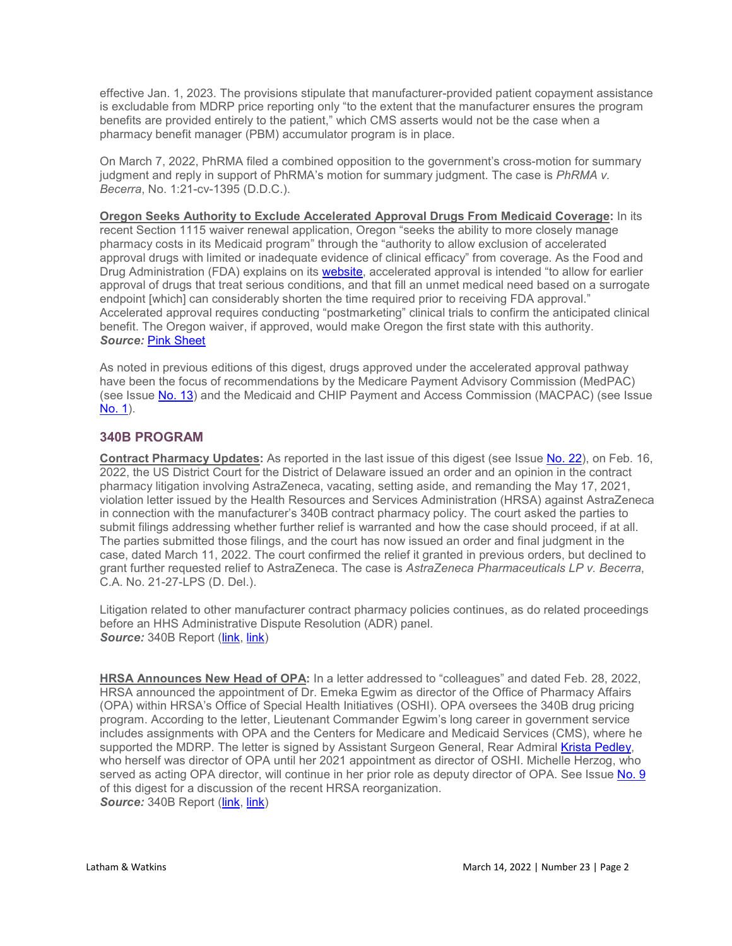effective Jan. 1, 2023. The provisions stipulate that manufacturer-provided patient copayment assistance is excludable from MDRP price reporting only "to the extent that the manufacturer ensures the program benefits are provided entirely to the patient," which CMS asserts would not be the case when a pharmacy benefit manager (PBM) accumulator program is in place.

On March 7, 2022, PhRMA filed a combined opposition to the government's cross-motion for summary judgment and reply in support of PhRMA's motion for summary judgment. The case is *PhRMA v. Becerra*, No. 1:21-cv-1395 (D.D.C.).

**Oregon Seeks Authority to Exclude Accelerated Approval Drugs From Medicaid Coverage:** In its recent Section 1115 waiver renewal application, Oregon "seeks the ability to more closely manage pharmacy costs in its Medicaid program" through the "authority to allow exclusion of accelerated approval drugs with limited or inadequate evidence of clinical efficacy" from coverage. As the Food and Drug Administration (FDA) explains on its [website,](https://www.fda.gov/drugs/information-health-care-professionals-drugs/accelerated-approval-program) accelerated approval is intended "to allow for earlier approval of drugs that treat serious conditions, and that fill an unmet medical need based on a surrogate endpoint [which] can considerably shorten the time required prior to receiving FDA approval." Accelerated approval requires conducting "postmarketing" clinical trials to confirm the anticipated clinical benefit. The Oregon waiver, if approved, would make Oregon the first state with this authority. *Source:* [Pink Sheet](https://pink.pharmaintelligence.informa.com/PS145820/Accelerated-Approvals-In-Medicaid-Drug-Coverage-Exclusion-Authority-Sought-In-Oregon)

As noted in previous editions of this digest, drugs approved under the accelerated approval pathway have been the focus of recommendations by the Medicare Payment Advisory Commission (MedPAC) (see Issue [No. 13\)](https://www.sites.lwcommunicate.com/e/6b06ajzdt8w7itg/870be17d-f30e-4328-bf8f-b5cb555e6af5) and the Medicaid and CHIP Payment and Access Commission (MACPAC) (see Issue [No. 1\)](https://www.sites.lwcommunicate.com/e/st0u8nxtgdhbrja/448b1d9f-c1ea-44f8-9b15-3fcd1ffa1437).

## **340B PROGRAM**

**Contract Pharmacy Updates:** As reported in the last issue of this digest (see Issue [No. 22\)](https://www.lw.com/thoughtLeadership/healthcare-life-sciences-drug-pricing-digest-number-22), on Feb. 16, 2022, the US District Court for the District of Delaware issued an order and an opinion in the contract pharmacy litigation involving AstraZeneca, vacating, setting aside, and remanding the May 17, 2021, violation letter issued by the Health Resources and Services Administration (HRSA) against AstraZeneca in connection with the manufacturer's 340B contract pharmacy policy. The court asked the parties to submit filings addressing whether further relief is warranted and how the case should proceed, if at all. The parties submitted those filings, and the court has now issued an order and final judgment in the case, dated March 11, 2022. The court confirmed the relief it granted in previous orders, but declined to grant further requested relief to AstraZeneca. The case is *AstraZeneca Pharmaceuticals LP v. Becerra*, C.A. No. 21-27-LPS (D. Del.).

Litigation related to other manufacturer contract pharmacy policies continues, as do related proceedings before an HHS Administrative Dispute Resolution (ADR) panel. **Source:** 340B Report [\(link,](https://340breport.com/novo-nordisk-and-sanofi-make-their-cases-to-federal-appeals-court-in-340b-contract-pharmacy-lawsuit/) [link\)](https://340breport.com/340b-adr-panel-wants-to-know-if-court-decision-affects-hiv-advocacy-groups-claims-against-astrazeneca-and-sanofi/)

**HRSA Announces New Head of OPA:** In a letter addressed to "colleagues" and dated Feb. 28, 2022, HRSA announced the appointment of Dr. Emeka Egwim as director of the Office of Pharmacy Affairs (OPA) within HRSA's Office of Special Health Initiatives (OSHI). OPA oversees the 340B drug pricing program. According to the letter, Lieutenant Commander Egwim's long career in government service includes assignments with OPA and the Centers for Medicare and Medicaid Services (CMS), where he supported the MDRP. The letter is signed by Assistant Surgeon General, Rear Admiral [Krista Pedley,](https://www.hrsa.gov/about/organization/bio-pedley.html) who herself was director of OPA until her 2021 appointment as director of OSHI. Michelle Herzog, who served as acting OPA director, will continue in her prior role as deputy director of OPA. See Issue [No. 9](https://www.sites.lwcommunicate.com/e/yl0iet0aoh7hyuw/4fb818a4-d392-41f7-84de-3bfe24c289dd) of this digest for a discussion of the recent HRSA reorganization. **Source:** 340B Report [\(link,](https://340breport.com/hrsa-picks-federal-hiv-aids-policy-specialist-emeka-egwim-to-be-its-next-340b-program-director/) [link\)](https://340breport.com/340b-stakeholders-congratulate-egwim-on-being-named-opa-director/)